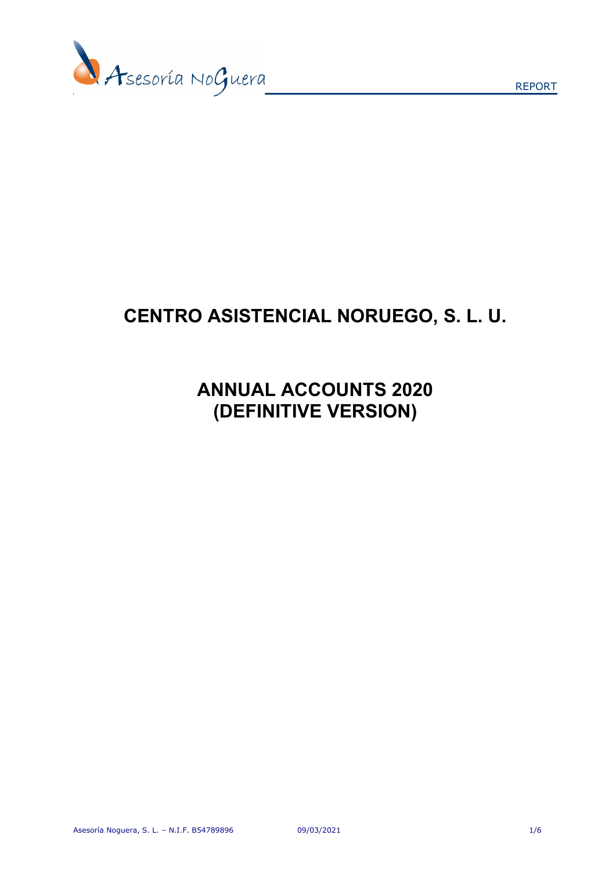

REPORT

# CENTRO ASISTENCIAL NORUEGO, S. L. U.

## ANNUAL ACCOUNTS 2020 (DEFINITIVE VERSION)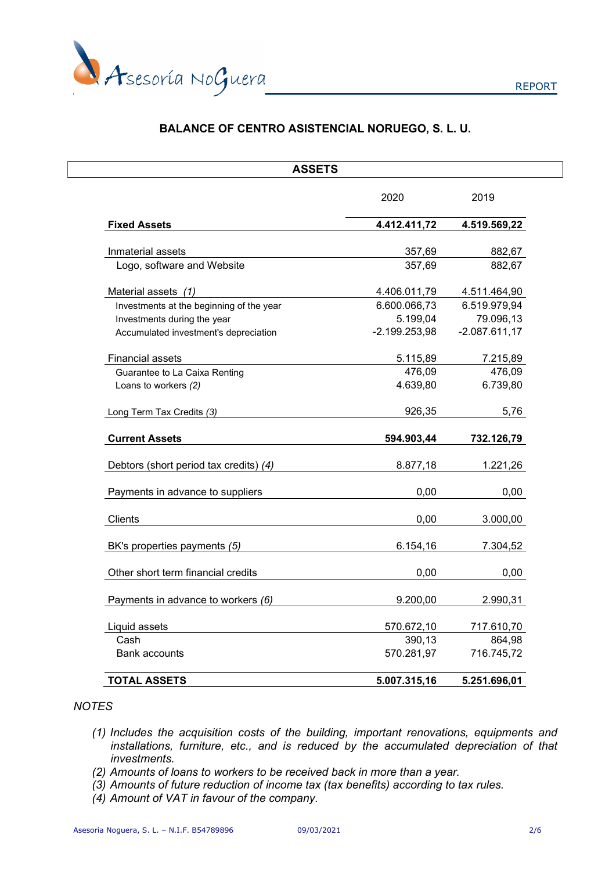

### BALANCE OF CENTRO ASISTENCIAL NORUEGO, S. L. U.

| <b>ASSETS</b>                            |                 |                 |
|------------------------------------------|-----------------|-----------------|
|                                          | 2020            | 2019            |
| <b>Fixed Assets</b>                      | 4.412.411,72    | 4.519.569,22    |
| Inmaterial assets                        | 357,69          | 882,67          |
| Logo, software and Website               | 357,69          | 882,67          |
| Material assets (1)                      | 4.406.011,79    | 4.511.464,90    |
| Investments at the beginning of the year | 6.600.066,73    | 6.519.979,94    |
| Investments during the year              | 5.199,04        | 79.096,13       |
| Accumulated investment's depreciation    | $-2.199.253,98$ | $-2.087.611,17$ |
| <b>Financial assets</b>                  | 5.115,89        | 7.215,89        |
| Guarantee to La Caixa Renting            | 476,09          | 476,09          |
| Loans to workers (2)                     | 4.639,80        | 6.739,80        |
| Long Term Tax Credits (3)                | 926,35          | 5,76            |
| <b>Current Assets</b>                    | 594.903,44      | 732.126,79      |
| Debtors (short period tax credits) (4)   | 8.877,18        | 1.221,26        |
| Payments in advance to suppliers         | 0,00            | 0,00            |
| Clients                                  | 0,00            | 3.000,00        |
| BK's properties payments (5)             | 6.154,16        | 7.304,52        |
| Other short term financial credits       | 0,00            | 0,00            |
| Payments in advance to workers (6)       | 9.200,00        | 2.990,31        |
| Liquid assets                            | 570.672,10      | 717.610,70      |
| Cash                                     | 390,13          | 864,98          |
| <b>Bank accounts</b>                     | 570.281,97      | 716.745,72      |
|                                          |                 |                 |

### **NOTES**

- (1) Includes the acquisition costs of the building, important renovations, equipments and installations, furniture, etc., and is reduced by the accumulated depreciation of that investments.
- (2) Amounts of loans to workers to be received back in more than a year.
- (3) Amounts of future reduction of income tax (tax benefits) according to tax rules.
- (4) Amount of VAT in favour of the company.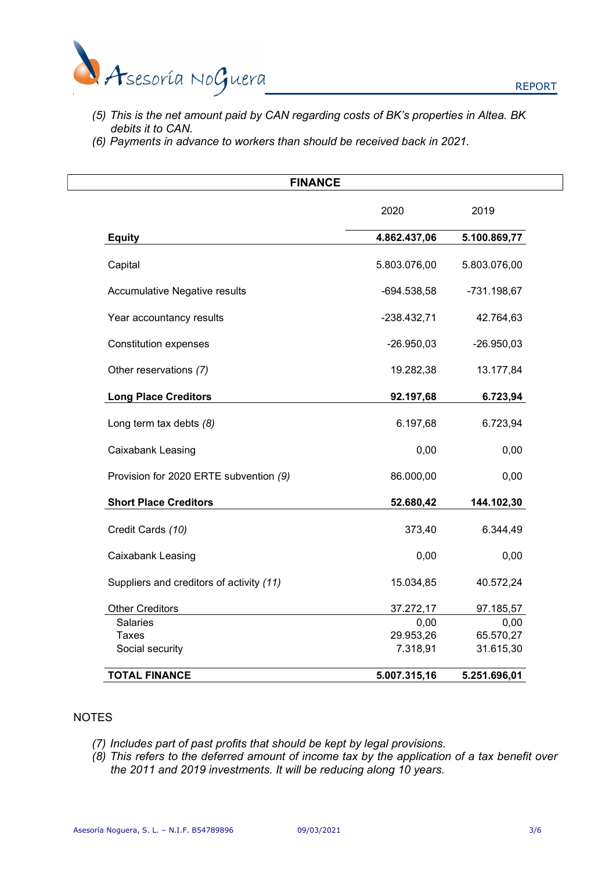

- (5) This is the net amount paid by CAN regarding costs of BK's properties in Altea. BK debits it to CAN.
- (6) Payments in advance to workers than should be received back in 2021.

| <b>FINANCE</b>                           |               |              |  |
|------------------------------------------|---------------|--------------|--|
|                                          | 2020          | 2019         |  |
| <b>Equity</b>                            | 4.862.437,06  | 5.100.869,77 |  |
| Capital                                  | 5.803.076,00  | 5.803.076,00 |  |
| Accumulative Negative results            | $-694.538,58$ | -731.198,67  |  |
| Year accountancy results                 | $-238.432,71$ | 42.764,63    |  |
| <b>Constitution expenses</b>             | $-26.950,03$  | $-26.950,03$ |  |
| Other reservations (7)                   | 19.282,38     | 13.177,84    |  |
| <b>Long Place Creditors</b>              | 92.197,68     | 6.723,94     |  |
| Long term tax debts (8)                  | 6.197,68      | 6.723,94     |  |
| Caixabank Leasing                        | 0,00          | 0,00         |  |
| Provision for 2020 ERTE subvention (9)   | 86.000,00     | 0,00         |  |
| <b>Short Place Creditors</b>             | 52.680,42     | 144.102,30   |  |
| Credit Cards (10)                        | 373,40        | 6.344,49     |  |
| Caixabank Leasing                        | 0,00          | 0,00         |  |
| Suppliers and creditors of activity (11) | 15.034,85     | 40.572,24    |  |
| <b>Other Creditors</b>                   | 37.272,17     | 97.185,57    |  |
| <b>Salaries</b>                          | 0,00          | 0,00         |  |
| <b>Taxes</b>                             | 29.953,26     | 65.570,27    |  |
| Social security                          | 7.318,91      | 31.615,30    |  |
| <b>TOTAL FINANCE</b>                     | 5.007.315,16  | 5.251.696,01 |  |

#### NOTES

- (7) Includes part of past profits that should be kept by legal provisions.
- (8) This refers to the deferred amount of income tax by the application of a tax benefit over the 2011 and 2019 investments. It will be reducing along 10 years.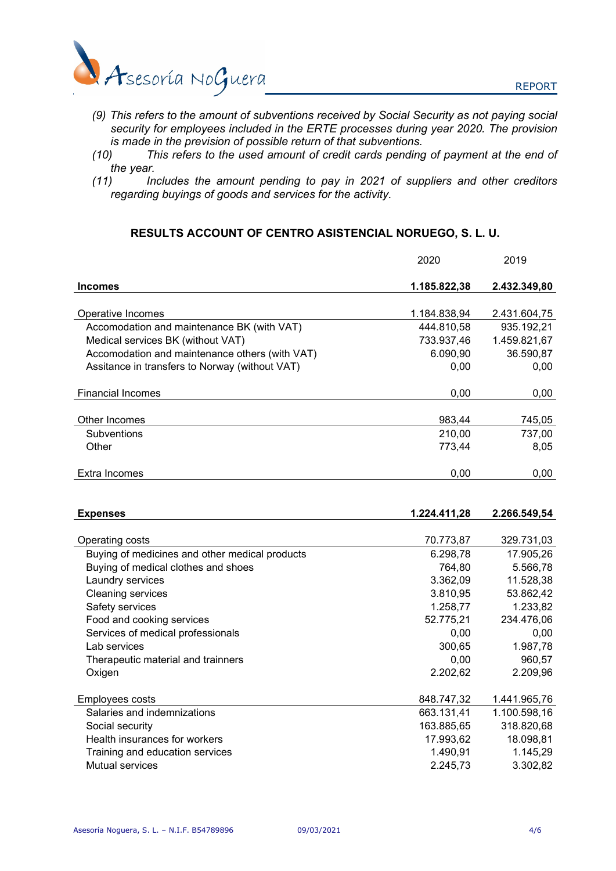

- (9) This refers to the amount of subventions received by Social Security as not paying social security for employees included in the ERTE processes during year 2020. The provision is made in the prevision of possible return of that subventions.
- (10) This refers to the used amount of credit cards pending of payment at the end of the year.
- (11) Includes the amount pending to pay in 2021 of suppliers and other creditors regarding buyings of goods and services for the activity.

### RESULTS ACCOUNT OF CENTRO ASISTENCIAL NORUEGO, S. L. U.

|                                                | 2020         | 2019         |
|------------------------------------------------|--------------|--------------|
| <b>Incomes</b>                                 | 1.185.822,38 | 2.432.349,80 |
| Operative Incomes                              | 1.184.838,94 | 2.431.604,75 |
| Accomodation and maintenance BK (with VAT)     | 444.810,58   | 935.192,21   |
| Medical services BK (without VAT)              | 733.937,46   | 1.459.821,67 |
| Accomodation and maintenance others (with VAT) | 6.090,90     | 36.590,87    |
| Assitance in transfers to Norway (without VAT) | 0,00         | 0,00         |
| <b>Financial Incomes</b>                       | 0,00         | 0,00         |
| Other Incomes                                  | 983,44       | 745,05       |
| Subventions                                    | 210,00       | 737,00       |
| Other                                          | 773,44       | 8,05         |
|                                                |              |              |
| Extra Incomes                                  | 0,00         | 0,00         |
| <b>Expenses</b>                                | 1.224.411.28 | 2.266.549,54 |
|                                                |              |              |
| Operating costs                                | 70.773,87    | 329.731,03   |
| Buying of medicines and other medical products | 6.298,78     | 17.905,26    |
| Buying of medical clothes and shoes            | 764,80       | 5.566,78     |
| Laundry services                               | 3.362,09     | 11.528,38    |
| Cleaning services                              | 3.810,95     | 53.862,42    |
| Safety services                                | 1.258,77     | 1.233,82     |
| Food and cooking services                      | 52.775,21    | 234.476,06   |
| Services of medical professionals              | 0,00         | 0,00         |
| Lab services                                   | 300,65       | 1.987,78     |
| Therapeutic material and trainners             | 0,00         | 960,57       |
| Oxigen                                         | 2.202,62     | 2.209,96     |
| <b>Employees costs</b>                         | 848.747,32   | 1.441.965,76 |
| Salaries and indemnizations                    | 663.131,41   | 1.100.598,16 |
| Social security                                | 163.885,65   | 318.820,68   |
| Health insurances for workers                  | 17.993,62    | 18.098,81    |
| Training and education services                | 1.490,91     | 1.145,29     |
| <b>Mutual services</b>                         | 2.245,73     | 3.302,82     |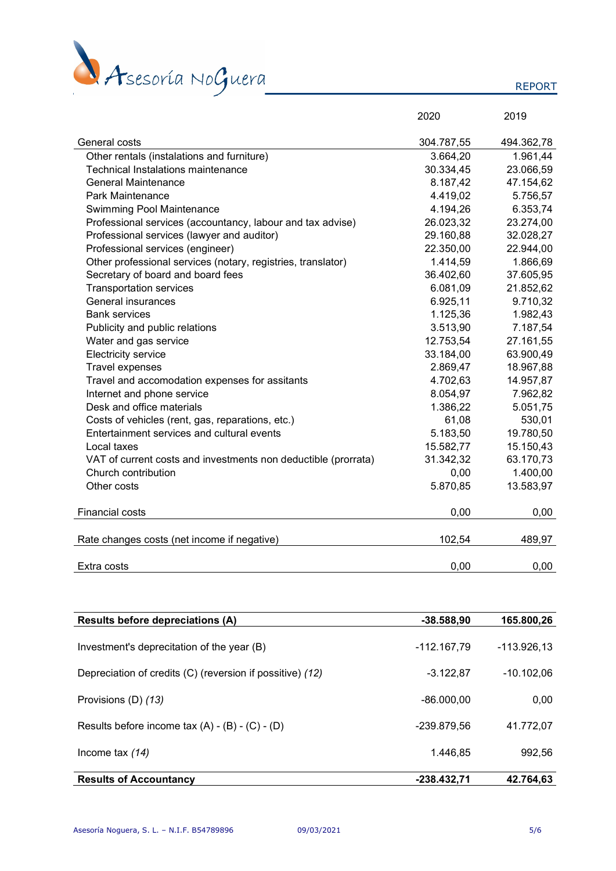

REPORT

|                                                                | 2020       | 2019       |
|----------------------------------------------------------------|------------|------------|
| General costs                                                  | 304.787,55 | 494.362,78 |
| Other rentals (instalations and furniture)                     | 3.664,20   | 1.961,44   |
| <b>Technical Instalations maintenance</b>                      | 30.334,45  | 23.066,59  |
| <b>General Maintenance</b>                                     | 8.187,42   | 47.154,62  |
| Park Maintenance                                               | 4.419,02   | 5.756,57   |
| <b>Swimming Pool Maintenance</b>                               | 4.194,26   | 6.353,74   |
| Professional services (accountancy, labour and tax advise)     | 26.023,32  | 23.274,00  |
| Professional services (lawyer and auditor)                     | 29.160,88  | 32.028,27  |
| Professional services (engineer)                               | 22.350,00  | 22.944,00  |
| Other professional services (notary, registries, translator)   | 1.414,59   | 1.866,69   |
| Secretary of board and board fees                              | 36.402,60  | 37.605,95  |
| <b>Transportation services</b>                                 | 6.081,09   | 21.852,62  |
| <b>General insurances</b>                                      | 6.925,11   | 9.710,32   |
| <b>Bank services</b>                                           | 1.125,36   | 1.982,43   |
| Publicity and public relations                                 | 3.513,90   | 7.187,54   |
| Water and gas service                                          | 12.753,54  | 27.161,55  |
| Electricity service                                            | 33.184,00  | 63.900,49  |
| <b>Travel expenses</b>                                         | 2.869,47   | 18.967,88  |
| Travel and accomodation expenses for assitants                 | 4.702,63   | 14.957,87  |
| Internet and phone service                                     | 8.054,97   | 7.962,82   |
| Desk and office materials                                      | 1.386,22   | 5.051,75   |
| Costs of vehicles (rent, gas, reparations, etc.)               | 61,08      | 530,01     |
| Entertainment services and cultural events                     | 5.183,50   | 19.780,50  |
| Local taxes                                                    | 15.582,77  | 15.150,43  |
| VAT of current costs and investments non deductible (prorrata) | 31.342,32  | 63.170,73  |
| Church contribution                                            | 0,00       | 1.400,00   |
| Other costs                                                    | 5.870,85   | 13.583,97  |
| Financial costs                                                | 0,00       | 0,00       |
| Rate changes costs (net income if negative)                    | 102,54     | 489,97     |
| Extra costs                                                    | 0,00       | 0,00       |

| Results before depreciations (A)                          | $-38.588,90$  | 165.800,26   |
|-----------------------------------------------------------|---------------|--------------|
| Investment's deprecitation of the year (B)                | -112.167,79   | -113.926.13  |
| Depreciation of credits (C) (reversion if possitive) (12) | $-3.122.87$   | $-10.102.06$ |
| Provisions (D) (13)                                       | $-86.000,00$  | 0,00         |
| Results before income tax $(A) - (B) - (C) - (D)$         | -239.879.56   | 41.772.07    |
| Income tax $(14)$                                         | 1.446.85      | 992,56       |
| <b>Results of Accountancy</b>                             | $-238.432,71$ | 42.764.63    |